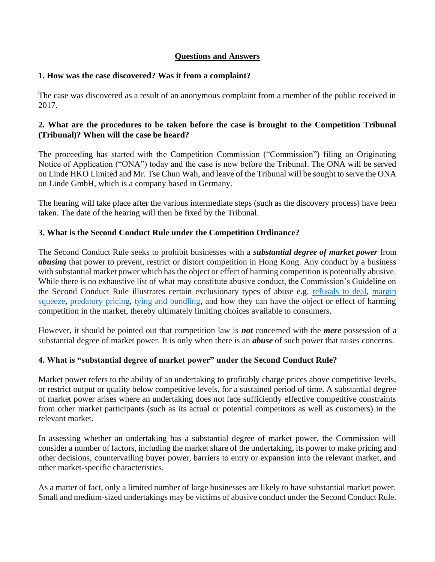## **Questions and Answers**

#### **1. How was the case discovered? Was it from a complaint?**

The case was discovered as a result of an anonymous complaint from a member of the public received in 2017.

#### **2. What are the procedures to be taken before the case is brought to the Competition Tribunal (Tribunal)? When will the case be heard?**

The proceeding has started with the Competition Commission ("Commission") filing an Originating Notice of Application ("ONA") today and the case is now before the Tribunal. The ONA will be served on Linde HKO Limited and Mr. Tse Chun Wah, and leave of the Tribunal will be sought to serve the ONA on Linde GmbH, which is a company based in Germany.

The hearing will take place after the various intermediate steps (such as the discovery process) have been taken. The date of the hearing will then be fixed by the Tribunal.

## **3. What is the Second Conduct Rule under the Competition Ordinance?**

The Second Conduct Rule seeks to prohibit businesses with a *substantial degree of market power* from *abusing* that power to prevent, restrict or distort competition in Hong Kong. Any conduct by a business with substantial market power which has the object or effect of harming competition is potentially abusive. While there is no exhaustive list of what may constitute abusive conduct, the Commission's Guideline on the Second Conduct Rule illustrates certain exclusionary types of abuse e.g. [refusals to deal,](https://www.compcomm.hk/en/practices/what_is_comp/refusals_deal.html) [margin](https://www.compcomm.hk/en/practices/what_is_comp/margin_squeeze.html)  [squeeze,](https://www.compcomm.hk/en/practices/what_is_comp/margin_squeeze.html) [predatory pricing,](https://www.compcomm.hk/en/practices/what_is_comp/predatory_pricing.html) [tying and bundling,](https://www.compcomm.hk/en/practices/what_is_comp/tying_bundling.html) and how they can have the object or effect of harming competition in the market, thereby ultimately limiting choices available to consumers.

However, it should be pointed out that competition law is *not* concerned with the *mere* possession of a substantial degree of market power. It is only when there is an *abuse* of such power that raises concerns.

## **4. What is "substantial degree of market power" under the Second Conduct Rule?**

Market power refers to the ability of an undertaking to profitably charge prices above competitive levels, or restrict output or quality below competitive levels, for a sustained period of time. A substantial degree of market power arises where an undertaking does not face sufficiently effective competitive constraints from other market participants (such as its actual or potential competitors as well as customers) in the relevant market.

In assessing whether an undertaking has a substantial degree of market power, the Commission will consider a number of factors, including the market share of the undertaking, its power to make pricing and other decisions, countervailing buyer power, barriers to entry or expansion into the relevant market, and other market-specific characteristics.

As a matter of fact, only a limited number of large businesses are likely to have substantial market power. Small and medium-sized undertakings may be victims of abusive conduct under the Second Conduct Rule.